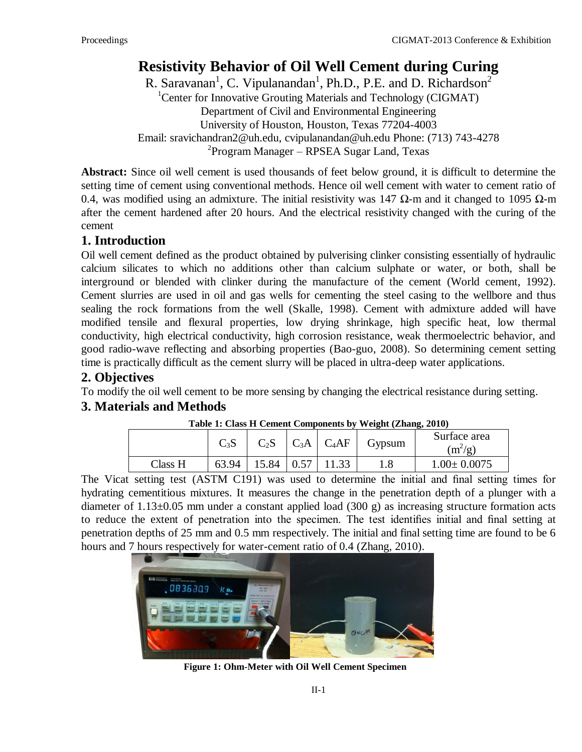# **Resistivity Behavior of Oil Well Cement during Curing**

R. Saravanan<sup>1</sup>, C. Vipulanandan<sup>1</sup>, Ph.D., P.E. and D. Richardson<sup>2</sup> <sup>1</sup>Center for Innovative Grouting Materials and Technology (CIGMAT) Department of Civil and Environmental Engineering University of Houston, Houston, Texas 77204-4003 Email: sravichandran2@uh.edu, cvipulanandan@uh.edu Phone: (713) 743-4278 <sup>2</sup> Program Manager – RPSEA Sugar Land, Texas

**Abstract:** Since oil well cement is used thousands of feet below ground, it is difficult to determine the setting time of cement using conventional methods. Hence oil well cement with water to cement ratio of 0.4, was modified using an admixture. The initial resistivity was 147  $\Omega$ -m and it changed to 1095  $\Omega$ -m after the cement hardened after 20 hours. And the electrical resistivity changed with the curing of the cement

# **1. Introduction**

Oil well cement defined as the product obtained by pulverising clinker consisting essentially of hydraulic calcium silicates to which no additions other than calcium sulphate or water, or both, shall be interground or blended with clinker during the manufacture of the cement (World cement, 1992). Cement slurries are used in oil and gas wells for cementing the steel casing to the wellbore and thus sealing the rock formations from the well (Skalle, 1998). Cement with admixture added will have modified tensile and flexural properties, low drying shrinkage, high specific heat, low thermal conductivity, high electrical conductivity, high corrosion resistance, weak thermoelectric behavior, and good radio-wave reflecting and absorbing properties (Bao-guo, 2008). So determining cement setting time is practically difficult as the cement slurry will be placed in ultra-deep water applications.

# **2. Objectives**

To modify the oil well cement to be more sensing by changing the electrical resistance during setting.

## **3. Materials and Methods**

| Table 1. Class 11 Centent Components by Weight (Znang, 2010) |        |        |      |                |        |                           |
|--------------------------------------------------------------|--------|--------|------|----------------|--------|---------------------------|
|                                                              | $C_3S$ | $C_2S$ |      | $C_3A$ $C_4AF$ | Gypsum | Surface area<br>$(m^2/g)$ |
| Class H                                                      | 63.94  | 15.84  | 0.57 |                |        | $1.00 \pm 0.0075$         |

#### **Table 1: Class H Cement Components by Weight (Zhang, 2010)**

The Vicat setting test (ASTM C191) was used to determine the initial and final setting times for hydrating cementitious mixtures. It measures the change in the penetration depth of a plunger with a diameter of 1.13±0.05 mm under a constant applied load (300 g) as increasing structure formation acts to reduce the extent of penetration into the specimen. The test identifies initial and final setting at penetration depths of 25 mm and 0.5 mm respectively. The initial and final setting time are found to be 6 hours and 7 hours respectively for water-cement ratio of 0.4 (Zhang, 2010).



**Figure 1: Ohm-Meter with Oil Well Cement Specimen**